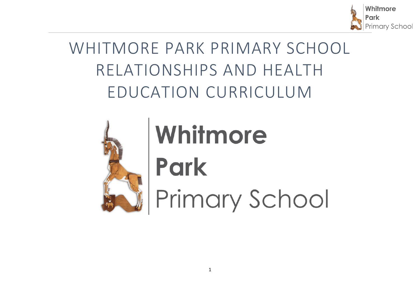

# WHITMORE PARK PRIMARY SCHOOL RELATIONSHIPS AND HEALTH EDUCATION CURRICULUM



# Whitmore **Park** Primary School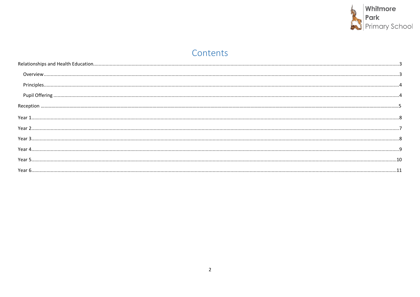

# Contents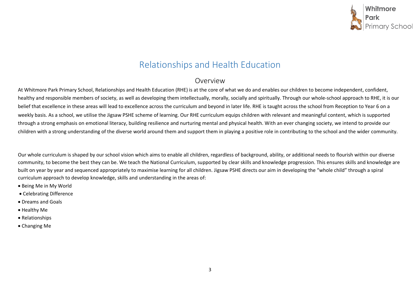<span id="page-2-0"></span>

## Relationships and Health Education

#### Overview

At Whitmore Park Primary School, Relationships and Health Education (RHE) is at the core of what we do and enables our children to become independent, confident, healthy and responsible members of society, as well as developing them intellectually, morally, socially and spiritually. Through our whole-school approach to RHE, it is our belief that excellence in these areas will lead to excellence across the curriculum and beyond in later life. RHE is taught across the school from Reception to Year 6 on a weekly basis. As a school, we utilise the Jigsaw PSHE scheme of learning. Our RHE curriculum equips children with relevant and meaningful content, which is supported through a strong emphasis on emotional literacy, building resilience and nurturing mental and physical health. With an ever changing society, we intend to provide our children with a strong understanding of the diverse world around them and support them in playing a positive role in contributing to the school and the wider community.

Our whole curriculum is shaped by our school vision which aims to enable all children, regardless of background, ability, or additional needs to flourish within our diverse community, to become the best they can be. We teach the National Curriculum, supported by clear skills and knowledge progression. This ensures skills and knowledge are built on year by year and sequenced appropriately to maximise learning for all children. Jigsaw PSHE directs our aim in developing the "whole child" through a spiral curriculum approach to develop knowledge, skills and understanding in the areas of:

- Being Me in My World
- Celebrating Difference
- Dreams and Goals
- Healthy Me
- Relationships
- Changing Me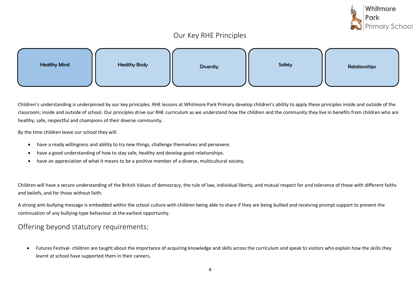

#### Our Key RHE Principles

| <b>Healthy Mind</b> | <b>Healthy Body</b> | <b>Diversity</b> | Safety | Relationships |
|---------------------|---------------------|------------------|--------|---------------|
|                     |                     |                  |        |               |

Children's understanding is underpinned by our key principles. RHE lessons at Whitmore Park Primary develop children's ability to apply these principles inside and outside of the classroom; inside and outside of school. Our principles drive our RHE curriculum as we understand how the children and the community they live in benefits from children who are healthy, safe, respectful and champions of their diverse community.

By the time children leave our school they will:

- have a ready willingness and ability to try new things, challenge themselves and persevere.
- have a good understanding of how to stay safe, healthy and develop good relationships.
- have an appreciation of what it means to be a positive member of a diverse, multicultural society.

Children will have a secure understanding of the British Values of democracy, the rule of law, individual liberty, and mutual respect for and tolerance of those with different faiths and beliefs, and for those without faith.

A strong anti-bullying message is embedded within the school culture with children being able to share if they are being bullied and receiving prompt support to prevent the continuation of any bullying-type behaviour at the earliest opportunity.

#### <span id="page-3-0"></span>Offering beyond statutory requirements:

• Futures Festival- children are taught about the importance of acquiring knowledge and skills across the curriculum and speak to visitors who explain how the skills they learnt at school have supported them in their careers.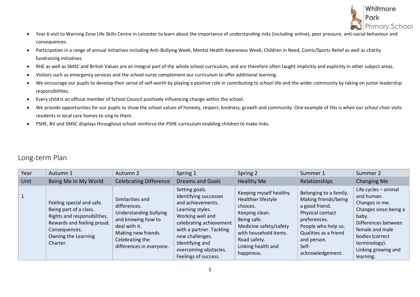

- Year 6 visit to Warning Zone Life Skills Centre in Leicester to learn about the importance of understanding risks (including online), peer pressure, anti-social behaviour and consequences.
- Participation in a range of annual initiatives including Anti-Bullying Week, Mental Health Awareness Week, Children in Need, Comic/Sports Relief as well as charity fundraising initiatives
- RHE as well as SMSC and British Values are an integral part of the whole school curriculum, and are therefore often taught implicitly and explicitly in other subject areas.
- Visitors such as emergency services and the school nurse complement our curriculum to offer additional learning.
- We encourage our pupils to develop their sense of self-worth by playing a positive role in contributing to school life and the wider community by taking on junior leadership responsibilities.
- Every child is an official member of School Council positively influencing change within the school.
- We provide opportunities for our pupils to show the school values of honesty, respect, kindness, growth and community. One example of this is when our school choir visits residents in local care homes to sing to them.
- PSHE, BV and SMSC displays throughout school reinforce the PSHE curriculum enabling children to make links.

#### Long-term Plan

| Year | Autumn 1                                                                                                                                                              | Autumn 2                                                                                                                                                                | Spring 1                                                                                                                                                                                                                                           | Spring 2                                                                                                                                                                                           | Summer 1                                                                                                                                                                                         | Summer 2                                                                                                                                                                                                 |
|------|-----------------------------------------------------------------------------------------------------------------------------------------------------------------------|-------------------------------------------------------------------------------------------------------------------------------------------------------------------------|----------------------------------------------------------------------------------------------------------------------------------------------------------------------------------------------------------------------------------------------------|----------------------------------------------------------------------------------------------------------------------------------------------------------------------------------------------------|--------------------------------------------------------------------------------------------------------------------------------------------------------------------------------------------------|----------------------------------------------------------------------------------------------------------------------------------------------------------------------------------------------------------|
| Unit | Being Me In My World                                                                                                                                                  | <b>Celebrating Difference</b>                                                                                                                                           | <b>Dreams and Goals</b>                                                                                                                                                                                                                            | Healthy Me                                                                                                                                                                                         | Relationships                                                                                                                                                                                    | Changing Me                                                                                                                                                                                              |
|      | Feeling special and safe.<br>Being part of a class.<br>Rights and responsibilities.<br>Rewards and feeling proud.<br>Consequences.<br>Owning the Learning<br>Charter. | Similarities and<br>differences.<br>Understanding bullying<br>and knowing how to<br>deal with it.<br>Making new friends.<br>Celebrating the<br>differences in everyone. | Setting goals.<br>Identifying successes<br>and achievements.<br>Learning styles.<br>Working well and<br>celebrating achievement<br>with a partner. Tackling<br>new challenges.<br>Identifying and<br>overcoming obstacles.<br>Feelings of success. | Keeping myself healthy.<br>Healthier lifestyle<br>choices.<br>Keeping clean.<br>Being safe.<br>Medicine safety/safety<br>with household items.<br>Road safety.<br>Linking health and<br>happiness. | Belonging to a family.<br>Making friends/being<br>a good friend.<br>Physical contact<br>preferences.<br>People who help us.<br>Qualities as a friend<br>and person.<br>Self-<br>acknowledgement. | Life cycles - animal<br>and human.<br>Changes in me.<br>Changes since being a<br>baby.<br>Differences between<br>female and male<br>bodies (correct<br>terminology).<br>Linking growing and<br>learning. |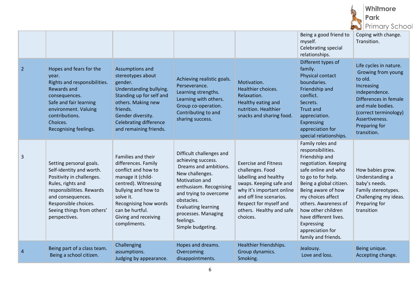

|                |                                                                                                                                                                                                                                |                                                                                                                                                                                                                                       |                                                                                                                                                                                                                                                                        |                                                                                                                                                                                                                               | Being a good friend to<br>myself.<br><b>Celebrating special</b><br>relationships.                                                                                                                                                                                                                                                  | Coping with change.<br>Transition.                                                                                                                                                                             |
|----------------|--------------------------------------------------------------------------------------------------------------------------------------------------------------------------------------------------------------------------------|---------------------------------------------------------------------------------------------------------------------------------------------------------------------------------------------------------------------------------------|------------------------------------------------------------------------------------------------------------------------------------------------------------------------------------------------------------------------------------------------------------------------|-------------------------------------------------------------------------------------------------------------------------------------------------------------------------------------------------------------------------------|------------------------------------------------------------------------------------------------------------------------------------------------------------------------------------------------------------------------------------------------------------------------------------------------------------------------------------|----------------------------------------------------------------------------------------------------------------------------------------------------------------------------------------------------------------|
| $\overline{2}$ | Hopes and fears for the<br>vear.<br>Rights and responsibilities.<br><b>Rewards and</b><br>consequences.<br>Safe and fair learning<br>environment. Valuing<br>contributions.<br>Choices.<br>Recognising feelings.               | Assumptions and<br>stereotypes about<br>gender.<br>Understanding bullying.<br>Standing up for self and<br>others. Making new<br>friends.<br>Gender diversity.<br><b>Celebrating difference</b><br>and remaining friends.              | Achieving realistic goals.<br>Perseverance.<br>Learning strengths.<br>Learning with others.<br>Group co-operation.<br>Contributing to and<br>sharing success.                                                                                                          | Motivation.<br>Healthier choices.<br>Relaxation.<br>Healthy eating and<br>nutrition. Healthier<br>snacks and sharing food.                                                                                                    | Different types of<br>family.<br>Physical contact<br>boundaries.<br>Friendship and<br>conflict.<br>Secrets.<br><b>Trust and</b><br>appreciation.<br><b>Expressing</b><br>appreciation for<br>special relationships.                                                                                                                | Life cycles in nature.<br>Growing from young<br>to old.<br>Increasing<br>independence.<br>Differences in female<br>and male bodies.<br>(correct terminology)<br>Assertiveness.<br>Preparing for<br>transition. |
| 3              | Setting personal goals.<br>Self-identity and worth.<br>Positivity in challenges.<br>Rules, rights and<br>responsibilities. Rewards<br>and consequences.<br>Responsible choices.<br>Seeing things from others'<br>perspectives. | Families and their<br>differences. Family<br>conflict and how to<br>manage it (child-<br>centred). Witnessing<br>bullying and how to<br>solve it.<br>Recognising how words<br>can be hurtful.<br>Giving and receiving<br>compliments. | Difficult challenges and<br>achieving success.<br>Dreams and ambitions.<br>New challenges.<br>Motivation and<br>enthusiasm. Recognising<br>and trying to overcome<br>obstacles.<br><b>Evaluating learning</b><br>processes. Managing<br>feelings.<br>Simple budgeting. | <b>Exercise and Fitness</b><br>challenges. Food<br>labelling and healthy<br>swaps. Keeping safe and<br>why it's important online<br>and off line scenarios.<br>Respect for myself and<br>others. Healthy and safe<br>choices. | Family roles and<br>responsibilities.<br>Friendship and<br>negotiation. Keeping<br>safe online and who<br>to go to for help.<br>Being a global citizen.<br>Being aware of how<br>my choices affect<br>others. Awareness of<br>how other children<br>have different lives.<br>Expressing<br>appreciation for<br>family and friends. | How babies grow.<br>Understanding a<br>baby's needs.<br>Family stereotypes.<br>Challenging my ideas.<br>Preparing for<br>transition                                                                            |
| 4              | Being part of a class team.<br>Being a school citizen.                                                                                                                                                                         | Challenging<br>assumptions.<br>Judging by appearance.                                                                                                                                                                                 | Hopes and dreams.<br>Overcoming<br>disappointments.                                                                                                                                                                                                                    | Healthier friendships.<br>Group dynamics.<br>Smoking.                                                                                                                                                                         | Jealousy.<br>Love and loss.                                                                                                                                                                                                                                                                                                        | Being unique.<br>Accepting change.                                                                                                                                                                             |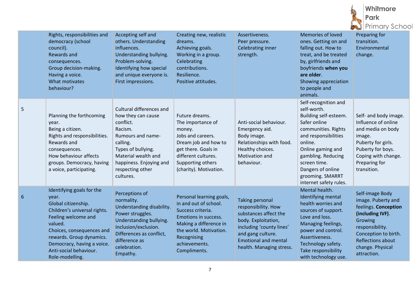|   |                                                                                                                                                                                                                                                                 |                                                                                                                                                                                                                  |                                                                                                                                                                                                    |                                                                                                                                                                                                           |                                                                                                                                                                                                                                                                      |        | Whitmore<br>Park<br><b>Primary School</b>                                                                                                                                                              |  |
|---|-----------------------------------------------------------------------------------------------------------------------------------------------------------------------------------------------------------------------------------------------------------------|------------------------------------------------------------------------------------------------------------------------------------------------------------------------------------------------------------------|----------------------------------------------------------------------------------------------------------------------------------------------------------------------------------------------------|-----------------------------------------------------------------------------------------------------------------------------------------------------------------------------------------------------------|----------------------------------------------------------------------------------------------------------------------------------------------------------------------------------------------------------------------------------------------------------------------|--------|--------------------------------------------------------------------------------------------------------------------------------------------------------------------------------------------------------|--|
|   | Rights, responsibilities and<br>democracy (school<br>council).<br>Rewards and<br>consequences.<br>Group decision-making.<br>Having a voice.<br>What motivates<br>behaviour?                                                                                     | Accepting self and<br>others. Understanding<br>influences.<br>Understanding bullying.<br>Problem-solving.<br>Identifying how special<br>and unique everyone is.<br>First impressions.                            | Creating new, realistic<br>dreams.<br>Achieving goals.<br>Working in a group.<br>Celebrating<br>contributions.<br>Resilience.<br>Positive attitudes.                                               | Assertiveness.<br>Peer pressure.<br>Celebrating inner<br>strength.                                                                                                                                        | Memories of loved<br>ones. Getting on and<br>falling out. How to<br>treat, and be treated<br>by, girlfriends and<br>boyfriends when you<br>are older.<br>Showing appreciation<br>to people and<br>animals.                                                           |        | Preparing for<br>transition.<br>Environmental<br>change.                                                                                                                                               |  |
| 5 | Planning the forthcoming<br>year.<br>Being a citizen.<br>Rights and responsibilities.<br>Rewards and<br>consequences.<br>How behaviour affects<br>groups. Democracy, having<br>a voice, participating.                                                          | Cultural differences and<br>how they can cause<br>conflict.<br>Racism.<br>Rumours and name-<br>calling.<br>Types of bullying.<br>Material wealth and<br>happiness. Enjoying and<br>respecting other<br>cultures. | Future dreams.<br>The importance of<br>money.<br>Jobs and careers.<br>Dream job and how to<br>get there. Goals in<br>different cultures.<br>Supporting others<br>(charity). Motivation.            | Anti-social behaviour.<br>Emergency aid.<br>Body image.<br>Relationships with food.<br>Healthy choices.<br>Motivation and<br>behaviour.                                                                   | Self-recognition and<br>self-worth.<br>Building self-esteem.<br>Safer online<br>communities. Rights<br>and responsibilities<br>online.<br>Online gaming and<br>gambling. Reducing<br>screen time.<br>Dangers of online<br>grooming. SMARRT<br>internet safety rules. | image. | Self- and body image.<br>Influence of online<br>and media on body<br>Puberty for girls.<br>Puberty for boys.<br>Coping with change.<br>Preparing for<br>transition.                                    |  |
| 6 | Identifying goals for the<br>year.<br>Global citizenship.<br>Children's universal rights.<br>Feeling welcome and<br>valued.<br>Choices, consequences and<br>rewards. Group dynamics.<br>Democracy, having a voice.<br>Anti-social behaviour.<br>Role-modelling. | Perceptions of<br>normality.<br>Understanding disability.<br>Power struggles.<br>Understanding bullying.<br>Inclusion/exclusion.<br>Differences as conflict,<br>difference as<br>celebration.<br>Empathy.        | Personal learning goals,<br>in and out of school.<br>Success criteria.<br>Emotions in success.<br>Making a difference in<br>the world. Motivation.<br>Recognising<br>achievements.<br>Compliments. | <b>Taking personal</b><br>responsibility. How<br>substances affect the<br>body. Exploitation,<br>including 'county lines'<br>and gang culture.<br><b>Emotional and mental</b><br>health. Managing stress. | Mental health.<br>Identifying mental<br>health worries and<br>sources of support.<br>Love and loss.<br>Managing feelings,<br>power and control.<br>Assertiveness.<br>Technology safety.<br>Take responsibility<br>with technology use.                               |        | Self-image Body<br>image. Puberty and<br>feelings. Conception<br>(including IVF).<br>Growing<br>responsibility.<br>Conception to birth.<br><b>Reflections about</b><br>change. Physical<br>attraction. |  |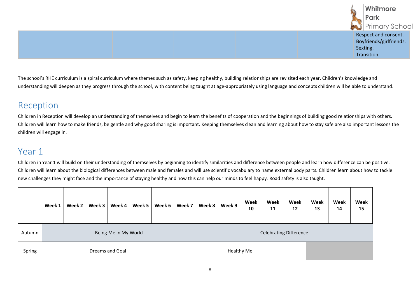

The school's RHE curriculum is a spiral curriculum where themes such as safety, keeping healthy, building relationships are revisited each year. Children's knowledge and understanding will deepen as they progress through the school, with content being taught at age-appropriately using language and concepts children will be able to understand.

# Reception

Children in Reception will develop an understanding of themselves and begin to learn the benefits of cooperation and the beginnings of building good relationships with others. Children will learn how to make friends, be gentle and why good sharing is important. Keeping themselves clean and learning about how to stay safe are also important lessons the children will engage in.

# <span id="page-7-0"></span>Year 1

Children in Year 1 will build on their understanding of themselves by beginning to identify similarities and difference between people and learn how difference can be positive. Children will learn about the biological differences between male and females and will use scientific vocabulary to name external body parts. Children learn about how to tackle new challenges they might face and the importance of staying healthy and how this can help our minds to feel happy. Road safety is also taught.

|        | Week 1 | Week 2 | Week 3 | Week 4               | Week 5 | Week 6 | Week 7 | Week 8                        | Week 9 | Week<br>10 | Week<br>11 | Week<br>12 | Week<br>13 | Week<br>14 | Week<br>15 |
|--------|--------|--------|--------|----------------------|--------|--------|--------|-------------------------------|--------|------------|------------|------------|------------|------------|------------|
| Autumn |        |        |        | Being Me in My World |        |        |        | <b>Celebrating Difference</b> |        |            |            |            |            |            |            |
| Spring |        |        |        | Dreams and Goal      |        |        |        |                               |        | Healthy Me |            |            |            |            |            |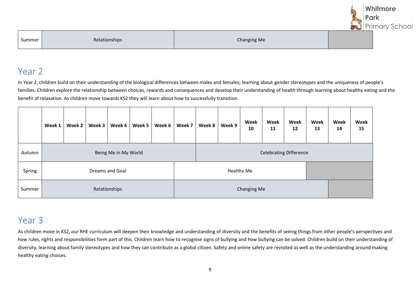|        |               |             | Whitmore<br>Park<br><b>Primary School</b> |
|--------|---------------|-------------|-------------------------------------------|
| Summer | Relationships | Changing Me |                                           |

#### Year 2

In Year 2, children build on their understanding of the biological differences between males and females; learning about gender stereotypes and the uniqueness of people's families. Children explore the relationship between choices, rewards and consequences and develop their understanding of health through learning about healthy eating and the benefit of relaxation. As children move towards KS2 they will learn about how to successfully transition.

|        | Week 1               | Week 2 | Week 3 | Week 4          | Week 5 | Week 6 | Week 7 | Week 8                        | Week 9 | Week<br>10  | Week<br>11 | Week<br>12 | Week<br>13 | Week<br>14 | Week<br>15 |  |
|--------|----------------------|--------|--------|-----------------|--------|--------|--------|-------------------------------|--------|-------------|------------|------------|------------|------------|------------|--|
| Autumn | Being Me in My World |        |        |                 |        |        |        | <b>Celebrating Difference</b> |        |             |            |            |            |            |            |  |
| Spring |                      |        |        | Dreams and Goal |        |        |        | <b>Healthy Me</b>             |        |             |            |            |            |            |            |  |
| Summer |                      |        |        | Relationships   |        |        |        |                               |        | Changing Me |            |            |            |            |            |  |

### Year 3

As children move in KS2, our RHE curriculum will deepen their knowledge and understanding of diversity and the benefits of seeing things from other people's perspectives and how rules, rights and responsibilities form part of this. Children learn how to recognise signs of bullying and how bullying can be solved. Children build on their understanding of diversity, learning about family stereotypes and how they can contribute as a global citizen. Safety and online safety are revisited as well as the understanding around making healthy eating choices.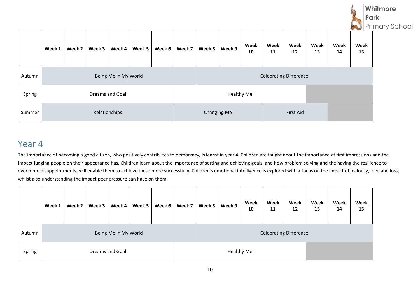

|        | Week 1 | Week 2 | Week 3 | Week 4               | Week 5 | Week 6 | Week 7 | Week 8                        | Week 9            | Week<br>10 | Week<br>11 | Week<br>12 | Week<br>13 | Week<br>14 | Week<br>15 |
|--------|--------|--------|--------|----------------------|--------|--------|--------|-------------------------------|-------------------|------------|------------|------------|------------|------------|------------|
| Autumn |        |        |        | Being Me in My World |        |        |        | <b>Celebrating Difference</b> |                   |            |            |            |            |            |            |
| Spring |        |        |        | Dreams and Goal      |        |        |        |                               | <b>Healthy Me</b> |            |            |            |            |            |            |
| Summer |        |        |        | Relationships        |        |        |        |                               | Changing Me       |            |            | First Aid  |            |            |            |

# Year 4

The importance of becoming a good citizen, who positively contributes to democracy, is learnt in year 4. Children are taught about the importance of first impressions and the impact judging people on their appearance has. Children learn about the importance of setting and achieving goals, and how problem solving and the having the resilience to overcome disappointments, will enable them to achieve these more successfully. Children's emotional intelligence is explored with a focus on the impact of jealousy, love and loss, whilst also understanding the impact peer pressure can have on them.

|        | Week 1 | Week 2 | Week 3 | Week 4               | Week 5 | Week 6 | Week 7 | Week 8                        | Week 9 | Week<br>10 | Week<br>11 | Week<br>12 | Week<br>13 | Week<br>14 | Week<br>15 |
|--------|--------|--------|--------|----------------------|--------|--------|--------|-------------------------------|--------|------------|------------|------------|------------|------------|------------|
| Autumn |        |        |        | Being Me in My World |        |        |        | <b>Celebrating Difference</b> |        |            |            |            |            |            |            |
| Spring |        |        |        | Dreams and Goal      |        |        |        |                               |        | Healthy Me |            |            |            |            |            |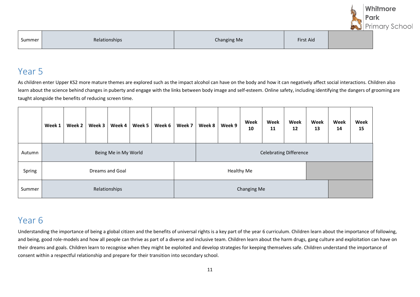|        |               |                    |           | Whitmore                      |
|--------|---------------|--------------------|-----------|-------------------------------|
|        |               |                    |           | Park<br><b>Primary School</b> |
| Summer | Relationships | <b>Changing Me</b> | First Aid |                               |

#### Year 5

As children enter Upper KS2 more mature themes are explored such as the impact alcohol can have on the body and how it can negatively affect social interactions. Children also learn about the science behind changes in puberty and engage with the links between body image and self-esteem. Online safety, including identifying the dangers of grooming are taught alongside the benefits of reducing screen time.

|        | Week 1 | Week 2 | Week 3 | Week 4               | Week 5 | Week 6 | Week 7                        | Week 8 | Week 9 | Week<br>10  | Week<br>11 | Week<br>12 | Week<br>13 | Week<br>14 | Week<br>15 |
|--------|--------|--------|--------|----------------------|--------|--------|-------------------------------|--------|--------|-------------|------------|------------|------------|------------|------------|
| Autumn |        |        |        | Being Me in My World |        |        | <b>Celebrating Difference</b> |        |        |             |            |            |            |            |            |
| Spring |        |        |        | Dreams and Goal      |        |        | Healthy Me                    |        |        |             |            |            |            |            |            |
| Summer |        |        |        | Relationships        |        |        |                               |        |        | Changing Me |            |            |            |            |            |

# Year 6

Understanding the importance of being a global citizen and the benefits of universal rights is a key part of the year 6 curriculum. Children learn about the importance of following, and being, good role-models and how all people can thrive as part of a diverse and inclusive team. Children learn about the harm drugs, gang culture and exploitation can have on their dreams and goals. Children learn to recognise when they might be exploited and develop strategies for keeping themselves safe. Children understand the importance of consent within a respectful relationship and prepare for their transition into secondary school.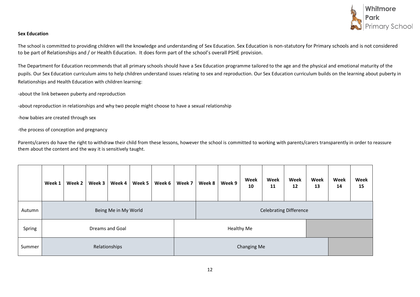

#### **Sex Education**

The school is committed to providing children will the knowledge and understanding of Sex Education. Sex Education is non-statutory for Primary schools and is not considered to be part of Relationships and / or Health Education. It does form part of the school's overall PSHE provision.

The Department for Education recommends that all primary schools should have a Sex Education programme tailored to the age and the physical and emotional maturity of the pupils. Our Sex Education curriculum aims to help children understand issues relating to sex and reproduction. Our Sex Education curriculum builds on the learning about puberty in Relationships and Health Education with children learning:

-about the link between puberty and reproduction

-about reproduction in relationships and why two people might choose to have a sexual relationship

-how babies are created through sex

-the process of conception and pregnancy

Parents/carers do have the right to withdraw their child from these lessons, however the school is committed to working with parents/carers transparently in order to reassure them about the content and the way it is sensitively taught.

|        | Week 1               | Week 2 | Week 3 | Week 4 | Week 5 | Week 6 | Week 7 | Week 8                        | Week 9 | Week<br>10 | Week<br>11 | Week<br>12 | Week<br>13 | Week<br>14 | Week<br>15 |
|--------|----------------------|--------|--------|--------|--------|--------|--------|-------------------------------|--------|------------|------------|------------|------------|------------|------------|
| Autumn | Being Me in My World |        |        |        |        |        |        | <b>Celebrating Difference</b> |        |            |            |            |            |            |            |
| Spring | Dreams and Goal      |        |        |        |        |        |        | Healthy Me                    |        |            |            |            |            |            |            |
| Summer | Relationships        |        |        |        |        |        |        | Changing Me                   |        |            |            |            |            |            |            |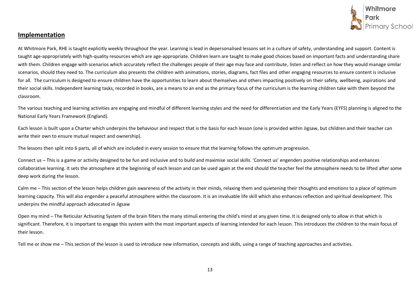

#### **Implementation**

At Whitmore Park, RHE is taught explicitly weekly throughout the year. Learning is lead in depersonalised lessons set in a culture of safety, understanding and support. Content is taught age-appropriately with high-quality resources which are age-appropriate. Children learn are taught to make good choices based on important facts and understanding share with them. Children engage with scenarios which accurately reflect the challenges people of their age may face and contribute, listen and reflect on how they would manage similar scenarios, should they need to. The curriculum also presents the children with animations, stories, diagrams, fact files and other engaging resources to ensure content is inclusive for all. The curriculum is designed to ensure children have the opportunities to learn about themselves and others impacting positively on their safety, wellbeing, aspirations and their social skills. Independent learning tasks, recorded in books, are a means to an end as the primary focus of the curriculum is the learning children take with them beyond the classroom.

The various teaching and learning activities are engaging and mindful of different learning styles and the need for differentiation and the Early Years (EYFS) planning is aligned to the National Early Years Framework (England).

Each lesson is built upon a Charter which underpins the behaviour and respect that is the basis for each lesson (one is provided within Jigsaw, but children and their teacher can write their own to ensure mutual respect and ownership).

The lessons then split into 6 parts, all of which are included in every session to ensure that the learning follows the optimum progression.

Connect us – This is a game or activity designed to be fun and inclusive and to build and maximise social skills. 'Connect us' engenders positive relationships and enhances collaborative learning. It sets the atmosphere at the beginning of each lesson and can be used again at the end should the teacher feel the atmosphere needs to be lifted after some deep work during the lesson.

Calm me – This section of the lesson helps children gain awareness of the activity in their minds, relaxing them and quietening their thoughts and emotions to a place of optimum learning capacity. This will also engender a peaceful atmosphere within the classroom. It is an invaluable life skill which also enhances reflection and spiritual development. This underpins the mindful approach advocated in Jigsaw

Open my mind – The Reticular Activating System of the brain filters the many stimuli entering the child's mind at any given time. It is designed only to allow in that which is significant. Therefore, it is important to engage this system with the most important aspects of learning intended for each lesson. This introduces the children to the main focus of their lesson.

Tell me or show me – This section of the lesson is used to introduce new information, concepts and skills, using a range of teaching approaches and activities.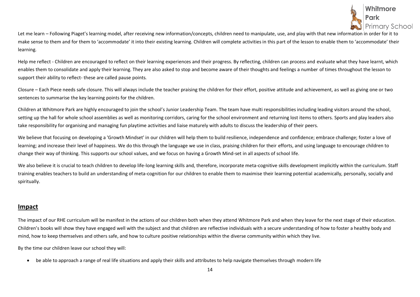

Let me learn – Following Piaget's learning model, after receiving new information/concepts, children need to manipulate, use, and play with that new information in order for it to make sense to them and for them to 'accommodate' it into their existing learning. Children will complete activities in this part of the lesson to enable them to 'accommodate' their learning.

Help me reflect - Children are encouraged to reflect on their learning experiences and their progress. By reflecting, children can process and evaluate what they have learnt, which enables them to consolidate and apply their learning. They are also asked to stop and become aware of their thoughts and feelings a number of times throughout the lesson to support their ability to reflect- these are called pause points.

Closure – Each Piece needs safe closure. This will always include the teacher praising the children for their effort, positive attitude and achievement, as well as giving one or two sentences to summarise the key learning points for the children.

Children at Whitmore Park are highly encouraged to join the school's Junior Leadership Team. The team have multi responsibilities including leading visitors around the school, setting up the hall for whole school assemblies as well as monitoring corridors, caring for the school environment and returning lost items to others. Sports and play leaders also take responsibility for organising and managing fun playtime activities and liaise maturely with adults to discuss the leadership of their peers.

We believe that focusing on developing a 'Growth Mindset' in our children will help them to build resilience, independence and confidence; embrace challenge; foster a love of learning; and increase their level of happiness. We do this through the language we use in class, praising children for their efforts, and using language to encourage children to change their way of thinking. This supports our school values, and we focus on having a Growth Mind-set in all aspects of school life.

We also believe it is crucial to teach children to develop life-long learning skills and, therefore, incorporate meta-cognitive skills development implicitly within the curriculum. Staff training enables teachers to build an understanding of meta-cognition for our children to enable them to maximise their learning potential academically, personally, socially and spiritually.

#### **Impact**

The impact of our RHE curriculum will be manifest in the actions of our children both when they attend Whitmore Park and when they leave for the next stage of their education. Children's books will show they have engaged well with the subject and that children are reflective individuals with a secure understanding of how to foster a healthy body and mind, how to keep themselves and others safe, and how to culture positive relationships within the diverse community within which they live.

By the time our children leave our school they will:

• be able to approach a range of real life situations and apply their skills and attributes to help navigate themselves through modern life